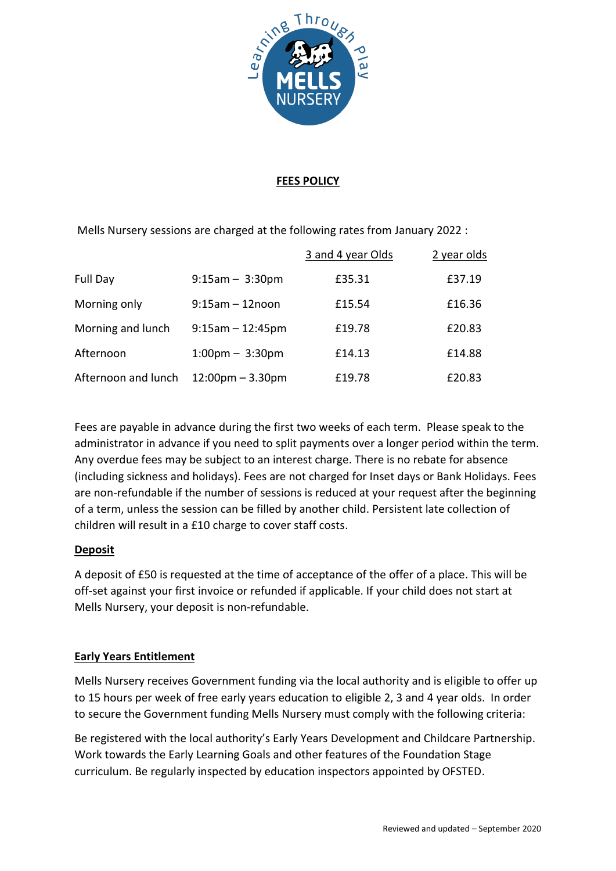

## **FEES POLICY**

Mells Nursery sessions are charged at the following rates from January 2022 :

|                     |                                    | 3 and 4 year Olds | 2 year olds |
|---------------------|------------------------------------|-------------------|-------------|
| Full Day            | $9:15am - 3:30pm$                  | £35.31            | £37.19      |
| Morning only        | $9:15$ am $-12$ noon               | £15.54            | £16.36      |
| Morning and lunch   | $9:15am - 12:45pm$                 | £19.78            | £20.83      |
| Afternoon           | $1:00 \text{pm} - 3:30 \text{pm}$  | £14.13            | £14.88      |
| Afternoon and lunch | $12:00 \text{pm} - 3.30 \text{pm}$ | £19.78            | £20.83      |

Fees are payable in advance during the first two weeks of each term. Please speak to the administrator in advance if you need to split payments over a longer period within the term. Any overdue fees may be subject to an interest charge. There is no rebate for absence (including sickness and holidays). Fees are not charged for Inset days or Bank Holidays. Fees are non-refundable if the number of sessions is reduced at your request after the beginning of a term, unless the session can be filled by another child. Persistent late collection of children will result in a £10 charge to cover staff costs.

# **Deposit**

A deposit of £50 is requested at the time of acceptance of the offer of a place. This will be off-set against your first invoice or refunded if applicable. If your child does not start at Mells Nursery, your deposit is non-refundable.

# **Early Years Entitlement**

Mells Nursery receives Government funding via the local authority and is eligible to offer up to 15 hours per week of free early years education to eligible 2, 3 and 4 year olds. In order to secure the Government funding Mells Nursery must comply with the following criteria:

Be registered with the local authority's Early Years Development and Childcare Partnership. Work towards the Early Learning Goals and other features of the Foundation Stage curriculum. Be regularly inspected by education inspectors appointed by OFSTED.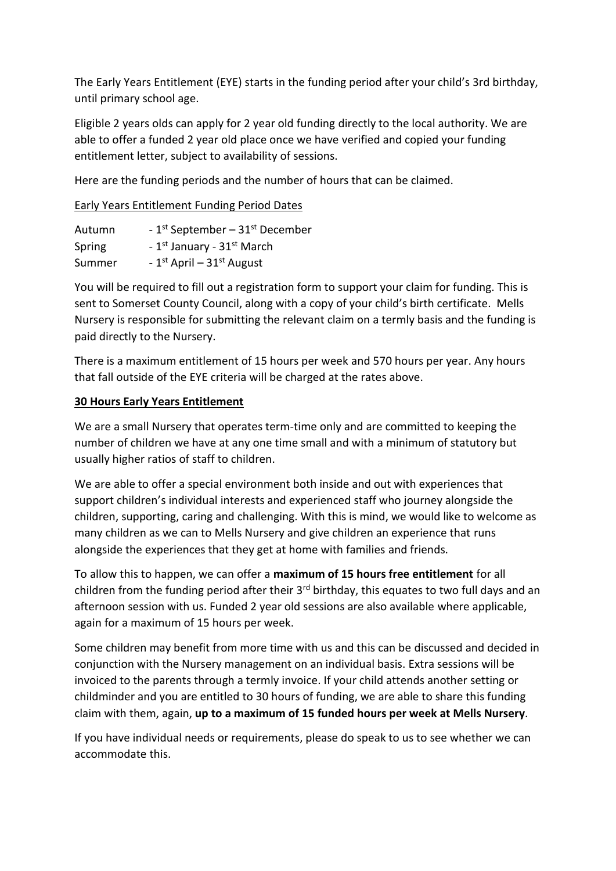The Early Years Entitlement (EYE) starts in the funding period after your child's 3rd birthday, until primary school age.

Eligible 2 years olds can apply for 2 year old funding directly to the local authority. We are able to offer a funded 2 year old place once we have verified and copied your funding entitlement letter, subject to availability of sessions.

Here are the funding periods and the number of hours that can be claimed.

# Early Years Entitlement Funding Period Dates

| Autumn | - $1st$ September – $31st$ December                |
|--------|----------------------------------------------------|
| Spring | - 1 <sup>st</sup> January - 31 <sup>st</sup> March |
| Summer | - $1^{st}$ April – $31^{st}$ August                |

You will be required to fill out a registration form to support your claim for funding. This is sent to Somerset County Council, along with a copy of your child's birth certificate. Mells Nursery is responsible for submitting the relevant claim on a termly basis and the funding is paid directly to the Nursery.

There is a maximum entitlement of 15 hours per week and 570 hours per year. Any hours that fall outside of the EYE criteria will be charged at the rates above.

# **30 Hours Early Years Entitlement**

We are a small Nursery that operates term-time only and are committed to keeping the number of children we have at any one time small and with a minimum of statutory but usually higher ratios of staff to children.

We are able to offer a special environment both inside and out with experiences that support children's individual interests and experienced staff who journey alongside the children, supporting, caring and challenging. With this is mind, we would like to welcome as many children as we can to Mells Nursery and give children an experience that runs alongside the experiences that they get at home with families and friends.

To allow this to happen, we can offer a **maximum of 15 hours free entitlement** for all children from the funding period after their  $3<sup>rd</sup>$  birthday, this equates to two full days and an afternoon session with us. Funded 2 year old sessions are also available where applicable, again for a maximum of 15 hours per week.

Some children may benefit from more time with us and this can be discussed and decided in conjunction with the Nursery management on an individual basis. Extra sessions will be invoiced to the parents through a termly invoice. If your child attends another setting or childminder and you are entitled to 30 hours of funding, we are able to share this funding claim with them, again, **up to a maximum of 15 funded hours per week at Mells Nursery**.

If you have individual needs or requirements, please do speak to us to see whether we can accommodate this.